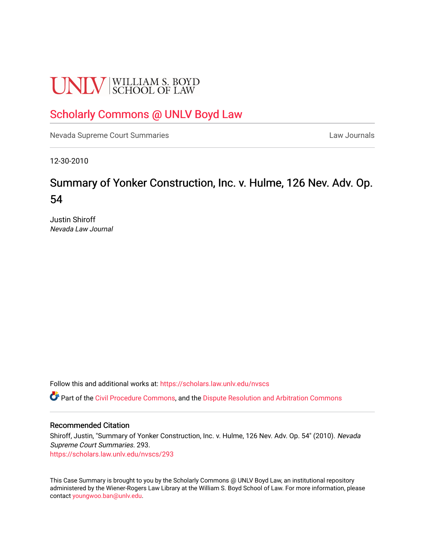# **UNLV** SCHOOL OF LAW

## [Scholarly Commons @ UNLV Boyd Law](https://scholars.law.unlv.edu/)

[Nevada Supreme Court Summaries](https://scholars.law.unlv.edu/nvscs) **Law Journals** Law Journals

12-30-2010

## Summary of Yonker Construction, Inc. v. Hulme, 126 Nev. Adv. Op. 54

Justin Shiroff Nevada Law Journal

Follow this and additional works at: [https://scholars.law.unlv.edu/nvscs](https://scholars.law.unlv.edu/nvscs?utm_source=scholars.law.unlv.edu%2Fnvscs%2F293&utm_medium=PDF&utm_campaign=PDFCoverPages)

Part of the [Civil Procedure Commons,](http://network.bepress.com/hgg/discipline/584?utm_source=scholars.law.unlv.edu%2Fnvscs%2F293&utm_medium=PDF&utm_campaign=PDFCoverPages) and the [Dispute Resolution and Arbitration Commons](http://network.bepress.com/hgg/discipline/890?utm_source=scholars.law.unlv.edu%2Fnvscs%2F293&utm_medium=PDF&utm_campaign=PDFCoverPages) 

#### Recommended Citation

Shiroff, Justin, "Summary of Yonker Construction, Inc. v. Hulme, 126 Nev. Adv. Op. 54" (2010). Nevada Supreme Court Summaries. 293. [https://scholars.law.unlv.edu/nvscs/293](https://scholars.law.unlv.edu/nvscs/293?utm_source=scholars.law.unlv.edu%2Fnvscs%2F293&utm_medium=PDF&utm_campaign=PDFCoverPages)

This Case Summary is brought to you by the Scholarly Commons @ UNLV Boyd Law, an institutional repository administered by the Wiener-Rogers Law Library at the William S. Boyd School of Law. For more information, please contact [youngwoo.ban@unlv.edu](mailto:youngwoo.ban@unlv.edu).